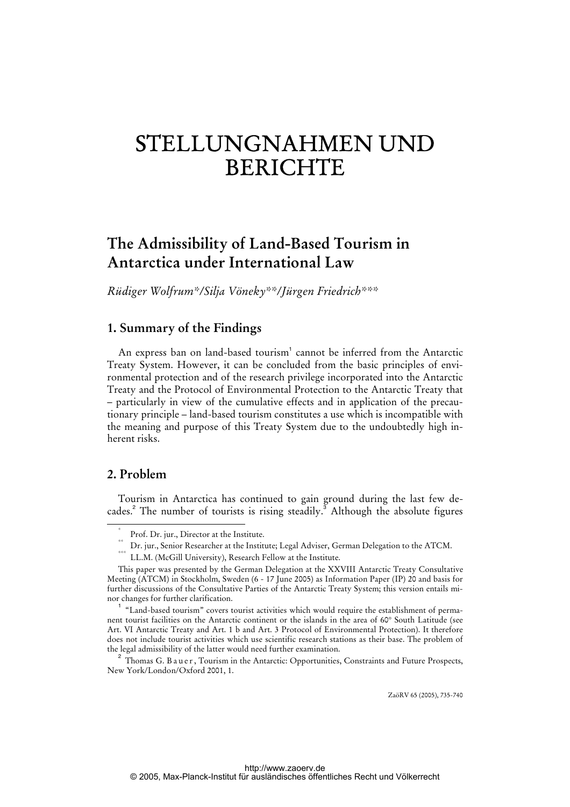# STELLUNGNAHMEN UND BERICHTE

## **The Admissibility of Land-Based Tourism in Antarctica under International Law**

*Rüdiger Wolfrum\*/Silja Vöneky\*\*/Jürgen Friedrich\*\*\** 

#### **1. Summary of the Findings**

An express ban on land-based tourism<sup>1</sup> cannot be inferred from the Antarctic Treaty System. However, it can be concluded from the basic principles of environmental protection and of the research privilege incorporated into the Antarctic Treaty and the Protocol of Environmental Protection to the Antarctic Treaty that – particularly in view of the cumulative effects and in application of the precautionary principle – land-based tourism constitutes a use which is incompatible with the meaning and purpose of this Treaty System due to the undoubtedly high inherent risks.

#### **2. Problem**

Tourism in Antarctica has continued to gain ground during the last few decades.<sup>2</sup> The number of tourists is rising steadily.<sup>3</sup> Although the absolute figures

ZaöRV 65 (2005), 735-740

 <sup>\*</sup> Prof. Dr. jur., Director at the Institute.

 $^{\ast\ast}$  Dr. jur., Senior Researcher at the Institute; Legal Adviser, German Delegation to the ATCM.

<sup>\*\*\*</sup> LL.M. (McGill University), Research Fellow at the Institute.

This paper was presented by the German Delegation at the XXVIII Antarctic Treaty Consultative Meeting (ATCM) in Stockholm, Sweden (6 - 17 June 2005) as Information Paper (IP) 20 and basis for further discussions of the Consultative Parties of the Antarctic Treaty System; this version entails minor changes for further clarification.

<sup>1</sup> "Land-based tourism" covers tourist activities which would require the establishment of permanent tourist facilities on the Antarctic continent or the islands in the area of 60° South Latitude (see Art. VI Antarctic Treaty and Art. 1 b and Art. 3 Protocol of Environmental Protection). It therefore does not include tourist activities which use scientific research stations as their base. The problem of the legal admissibility of the latter would need further examination.

 $^2$  Thomas G. B a u e r , Tourism in the Antarctic: Opportunities, Constraints and Future Prospects, New York/London/Oxford 2001, 1.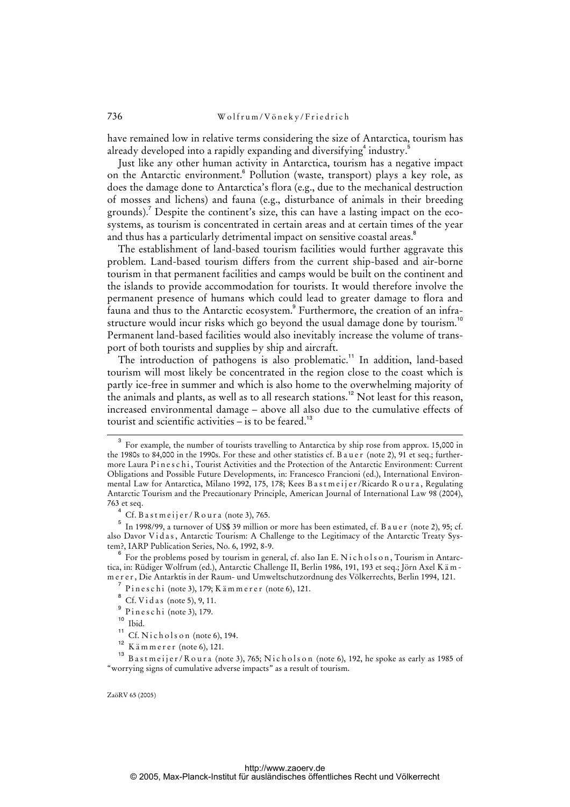have remained low in relative terms considering the size of Antarctica, tourism has already developed into a rapidly expanding and diversifying  $^4$  industry. $^5$ 

Just like any other human activity in Antarctica, tourism has a negative impact on the Antarctic environment.<sup>6</sup> Pollution (waste, transport) plays a key role, as does the damage done to Antarctica's flora (e.g., due to the mechanical destruction of mosses and lichens) and fauna (e.g., disturbance of animals in their breeding grounds).<sup>7</sup> Despite the continent's size, this can have a lasting impact on the ecosystems, as tourism is concentrated in certain areas and at certain times of the year and thus has a particularly detrimental impact on sensitive coastal areas.<sup>8</sup>

The establishment of land-based tourism facilities would further aggravate this problem. Land-based tourism differs from the current ship-based and air-borne tourism in that permanent facilities and camps would be built on the continent and the islands to provide accommodation for tourists. It would therefore involve the permanent presence of humans which could lead to greater damage to flora and fauna and thus to the Antarctic ecosystem.<sup>9</sup> Furthermore, the creation of an infrastructure would incur risks which go beyond the usual damage done by tourism.<sup>10</sup> Permanent land-based facilities would also inevitably increase the volume of transport of both tourists and supplies by ship and aircraft.

The introduction of pathogens is also problematic.<sup>11</sup> In addition, land-based tourism will most likely be concentrated in the region close to the coast which is partly ice-free in summer and which is also home to the overwhelming majority of the animals and plants, as well as to all research stations.<sup>12</sup> Not least for this reason, increased environmental damage – above all also due to the cumulative effects of tourist and scientific activities – is to be feared.<sup>13</sup>

ZaöRV 65 (2005)

 $\overline{3}$  For example, the number of tourists travelling to Antarctica by ship rose from approx. 15,000 in the 1980s to 84,000 in the 1990s. For these and other statistics cf. B a u e r (note 2), 91 et seq.; furthermore Laura Pineschi, Tourist Activities and the Protection of the Antarctic Environment: Current Obligations and Possible Future Developments, in: Francesco Francioni (ed.), International Environmental Law for Antarctica, Milano 1992, 175, 178; Kees Bastmeijer/Ricardo Roura, Regulating Antarctic Tourism and the Precautionary Principle, American Journal of International Law 98 (2004), 763 et seq.

<sup>4</sup> Cf. Bastmeijer/Roura (note 3), 765.

 $^5\,$  In 1998/99, a turnover of US\$ 39 million or more has been estimated, cf. B a u e r (note 2), 95; cf. also Davor Vidas, Antarctic Tourism: A Challenge to the Legitimacy of the Antarctic Treaty System?, IARP Publication Series, No. 6, 1992, 8-9.

<sup>6</sup> For the problems posed by tourism in general, cf. also Ian E. Nicholson, Tourism in Antarctica, in: Rüdiger Wolfrum (ed.), Antarctic Challenge II, Berlin 1986, 191, 193 et seq.; Jörn Axel K ä m m e r e r , Die Antarktis in der Raum- und Umweltschutzordnung des Völkerrechts, Berlin 1994, 121.

<sup>7</sup> Pineschi (note 3), 179; K ämmer er (note 6), 121.

 $^8$  Cf. Vidas (note 5), 9, 11.

<sup>9</sup>  $^{9}$  P i n e s c h i (note 3), 179.

Ibid.

<sup>&</sup>lt;sup>11</sup> Cf. N i c h o l s o n (note 6), 194.

 $K$  ä m m e r e r (note 6), 121.

<sup>&</sup>lt;sup>13</sup> B a s t m e i j e r / R o u r a (note 3), 765; N i c h o l s o n (note 6), 192, he spoke as early as 1985 of "worrying signs of cumulative adverse impacts" as a result of tourism.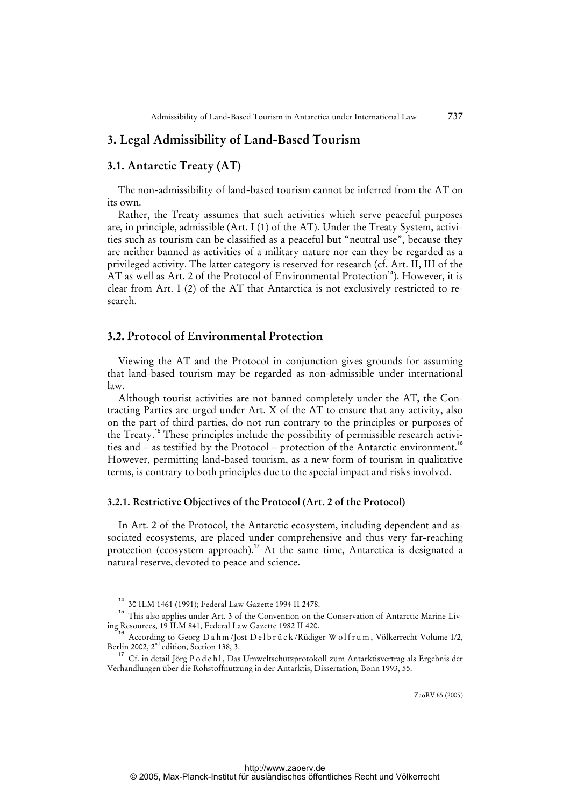#### **3. Legal Admissibility of Land-Based Tourism**

#### **3.1. Antarctic Treaty (AT)**

The non-admissibility of land-based tourism cannot be inferred from the AT on its own.

Rather, the Treaty assumes that such activities which serve peaceful purposes are, in principle, admissible (Art. I (1) of the AT). Under the Treaty System, activities such as tourism can be classified as a peaceful but "neutral use", because they are neither banned as activities of a military nature nor can they be regarded as a privileged activity. The latter category is reserved for research (cf. Art. II, III of the AT as well as Art. 2 of the Protocol of Environmental Protection<sup>14</sup>). However, it is clear from Art. I (2) of the AT that Antarctica is not exclusively restricted to research.

#### **3.2. Protocol of Environmental Protection**

Viewing the AT and the Protocol in conjunction gives grounds for assuming that land-based tourism may be regarded as non-admissible under international  $\ln \frac{1}{\pi}$ 

Although tourist activities are not banned completely under the AT, the Contracting Parties are urged under Art. X of the AT to ensure that any activity, also on the part of third parties, do not run contrary to the principles or purposes of the Treaty.<sup>15</sup> These principles include the possibility of permissible research activities and – as testified by the Protocol – protection of the Antarctic environment.<sup>16</sup> However, permitting land-based tourism, as a new form of tourism in qualitative terms, is contrary to both principles due to the special impact and risks involved.

#### **3.2.1. Restrictive Objectives of the Protocol (Art. 2 of the Protocol)**

In Art. 2 of the Protocol, the Antarctic ecosystem, including dependent and associated ecosystems, are placed under comprehensive and thus very far-reaching protection (ecosystem approach).<sup>17</sup> At the same time, Antarctica is designated a natural reserve, devoted to peace and science.

<sup>14</sup> 30 ILM 1461 (1991); Federal Law Gazette 1994 II 2478.

<sup>&</sup>lt;sup>15</sup> This also applies under Art. 3 of the Convention on the Conservation of Antarctic Marine Living Resources, 19 ILM 841, Federal Law Gazette 1982 II 420.

 $^3$  According to Georg D a h m /Jost D e l b r ü c k /Rüdiger W o l f r u m , Völkerrecht Volume I/2, Berlin 2002,  $2^{nd}$  edition, Section 138, 3.

 $^{17}$  Cf. in detail Jörg P o d e h l , Das Umweltschutzprotokoll zum Antarktisvertrag als Ergebnis der Verhandlungen über die Rohstoffnutzung in der Antarktis, Dissertation, Bonn 1993, 55.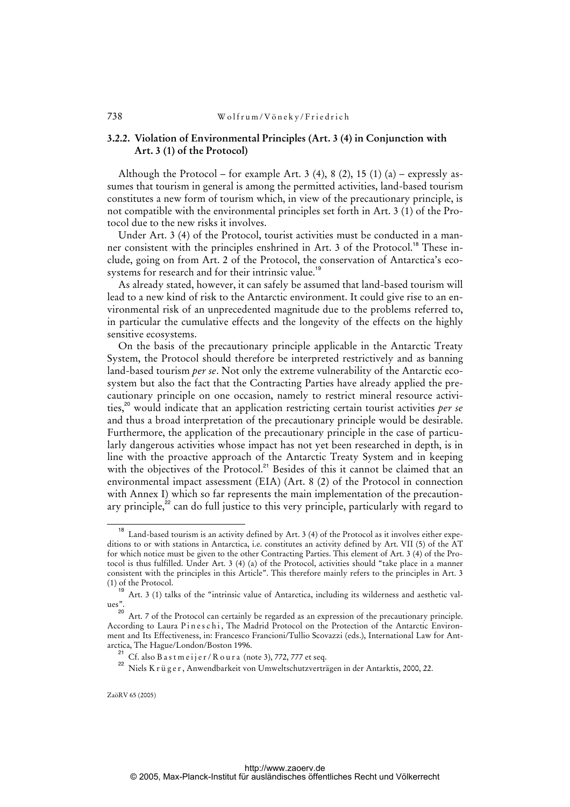#### 738 Wolfrum/Vöneky/Friedrich

#### **3.2.2. Violation of Environmental Principles (Art. 3 (4) in Conjunction with Art. 3 (1) of the Protocol)**

Although the Protocol – for example Art. 3 (4), 8 (2), 15 (1) (a) – expressly assumes that tourism in general is among the permitted activities, land-based tourism constitutes a new form of tourism which, in view of the precautionary principle, is not compatible with the environmental principles set forth in Art. 3 (1) of the Protocol due to the new risks it involves.

Under Art. 3 (4) of the Protocol, tourist activities must be conducted in a manner consistent with the principles enshrined in Art. 3 of the Protocol.<sup>18</sup> These include, going on from Art. 2 of the Protocol, the conservation of Antarctica's ecosystems for research and for their intrinsic value.<sup>19</sup>

As already stated, however, it can safely be assumed that land-based tourism will lead to a new kind of risk to the Antarctic environment. It could give rise to an environmental risk of an unprecedented magnitude due to the problems referred to, in particular the cumulative effects and the longevity of the effects on the highly sensitive ecosystems.

On the basis of the precautionary principle applicable in the Antarctic Treaty System, the Protocol should therefore be interpreted restrictively and as banning land-based tourism *per se*. Not only the extreme vulnerability of the Antarctic ecosystem but also the fact that the Contracting Parties have already applied the precautionary principle on one occasion, namely to restrict mineral resource activities,<sup>20</sup> would indicate that an application restricting certain tourist activities *per se* and thus a broad interpretation of the precautionary principle would be desirable. Furthermore, the application of the precautionary principle in the case of particularly dangerous activities whose impact has not yet been researched in depth, is in line with the proactive approach of the Antarctic Treaty System and in keeping with the objectives of the Protocol.<sup>21</sup> Besides of this it cannot be claimed that an environmental impact assessment (EIA) (Art. 8 (2) of the Protocol in connection with Annex I) which so far represents the main implementation of the precautionary principle, $^{22}$  can do full justice to this very principle, particularly with regard to

<sup>18</sup> Land-based tourism is an activity defined by Art. 3 (4) of the Protocol as it involves either expeditions to or with stations in Antarctica, i.e. constitutes an activity defined by Art. VII (5) of the AT for which notice must be given to the other Contracting Parties. This element of Art. 3 (4) of the Protocol is thus fulfilled. Under Art. 3 (4) (a) of the Protocol, activities should "take place in a manner consistent with the principles in this Article". This therefore mainly refers to the principles in Art. 3 (1) of the Protocol.

<sup>19</sup> Art. 3 (1) talks of the "intrinsic value of Antarctica, including its wilderness and aesthetic values".

<sup>&</sup>lt;sup>20</sup> Art. 7 of the Protocol can certainly be regarded as an expression of the precautionary principle. According to Laura Pineschi, The Madrid Protocol on the Protection of the Antarctic Environment and Its Effectiveness, in: Francesco Francioni/Tullio Scovazzi (eds.), International Law for Antarctica, The Hague/London/Boston 1996.

<sup>&</sup>lt;sup>21</sup> Cf. also B a s t m e i j e r / R o u r a (note 3), 772, 777 et seq.

<sup>&</sup>lt;sup>22</sup> Niels K r üger, Anwendbarkeit von Umweltschutzverträgen in der Antarktis, 2000, 22.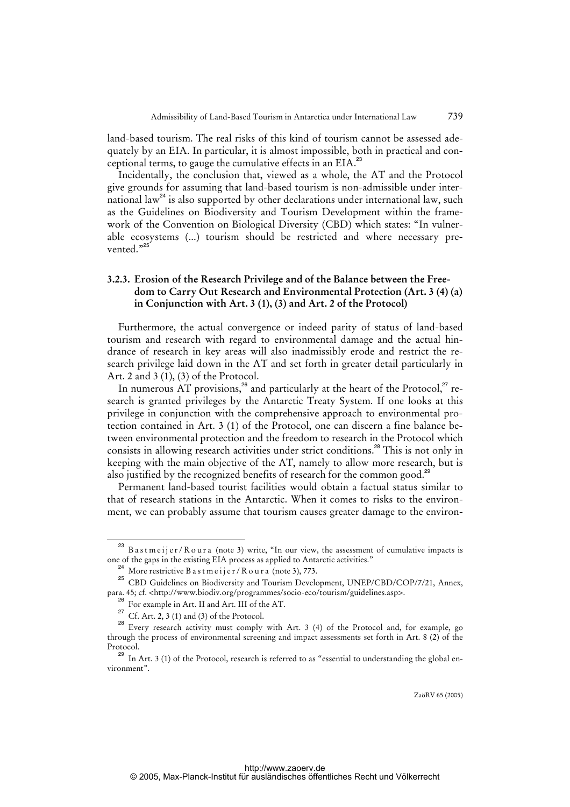land-based tourism. The real risks of this kind of tourism cannot be assessed adequately by an EIA. In particular, it is almost impossible, both in practical and conceptional terms, to gauge the cumulative effects in an EIA.<sup>23</sup>

Incidentally, the conclusion that, viewed as a whole, the AT and the Protocol give grounds for assuming that land-based tourism is non-admissible under international law<sup>24</sup> is also supported by other declarations under international law, such as the Guidelines on Biodiversity and Tourism Development within the framework of the Convention on Biological Diversity (CBD) which states: "In vulnerable ecosystems (...) tourism should be restricted and where necessary prevented."<sup>25</sup>

#### **3.2.3. Erosion of the Research Privilege and of the Balance between the Free dom to Carry Out Research and Environmental Protection (Art. 3 (4) (a) in Conjunction with Art. 3 (1), (3) and Art. 2 of the Protocol)**

Furthermore, the actual convergence or indeed parity of status of land-based tourism and research with regard to environmental damage and the actual hindrance of research in key areas will also inadmissibly erode and restrict the research privilege laid down in the AT and set forth in greater detail particularly in Art. 2 and 3 (1), (3) of the Protocol.

In numerous AT provisions, $^{26}$  and particularly at the heart of the Protocol, $^{27}$  research is granted privileges by the Antarctic Treaty System. If one looks at this privilege in conjunction with the comprehensive approach to environmental protection contained in Art. 3 (1) of the Protocol, one can discern a fine balance between environmental protection and the freedom to research in the Protocol which consists in allowing research activities under strict conditions.<sup>28</sup> This is not only in keeping with the main objective of the AT, namely to allow more research, but is also justified by the recognized benefits of research for the common good.<sup>29</sup>

Permanent land-based tourist facilities would obtain a factual status similar to that of research stations in the Antarctic. When it comes to risks to the environment, we can probably assume that tourism causes greater damage to the environ-

ZaöRV 65 (2005)

 $23$  B a s t m e i j e r / R o u r a (note 3) write, "In our view, the assessment of cumulative impacts is one of the gaps in the existing EIA process as applied to Antarctic activities."

More restrictive B a s t m e i j e r / R o u r a (note 3), 773.

<sup>&</sup>lt;sup>25</sup> CBD Guidelines on Biodiversity and Tourism Development, UNEP/CBD/COP/7/21, Annex, para. 45; cf. <<http://www.biodiv.org/programmes/socio-eco/tourism/guidelines.asp>>.

For example in Art. II and Art. III of the AT.

<sup>&</sup>lt;sup>27</sup> Cf. Art. 2, 3 (1) and (3) of the Protocol.

<sup>&</sup>lt;sup>28</sup> Every research activity must comply with Art. 3 (4) of the Protocol and, for example, go through the process of environmental screening and impact assessments set forth in Art. 8 (2) of the Protocol.

<sup>&</sup>lt;sup>29</sup> In Art. 3 (1) of the Protocol, research is referred to as "essential to understanding the global environment".